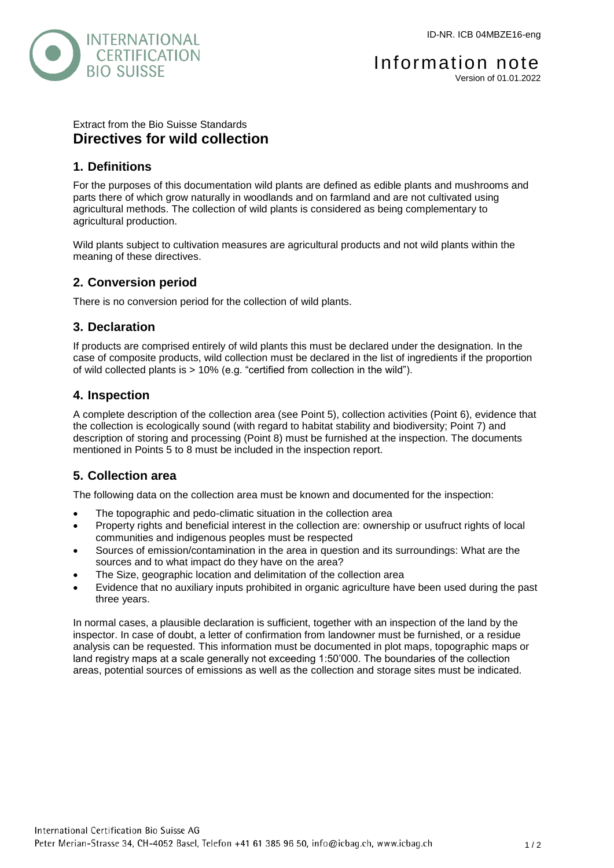

#### Extract from the Bio Suisse Standards **Directives for wild collection**

### **1. Definitions**

For the purposes of this documentation wild plants are defined as edible plants and mushrooms and parts there of which grow naturally in woodlands and on farmland and are not cultivated using agricultural methods. The collection of wild plants is considered as being complementary to agricultural production.

Wild plants subject to cultivation measures are agricultural products and not wild plants within the meaning of these directives.

# **2. Conversion period**

There is no conversion period for the collection of wild plants.

### **3. Declaration**

If products are comprised entirely of wild plants this must be declared under the designation. In the case of composite products, wild collection must be declared in the list of ingredients if the proportion of wild collected plants is > 10% (e.g. "certified from collection in the wild").

# **4. Inspection**

A complete description of the collection area (see Point 5), collection activities (Point 6), evidence that the collection is ecologically sound (with regard to habitat stability and biodiversity; Point 7) and description of storing and processing (Point 8) must be furnished at the inspection. The documents mentioned in Points 5 to 8 must be included in the inspection report.

# **5. Collection area**

The following data on the collection area must be known and documented for the inspection:

- The topographic and pedo-climatic situation in the collection area
- Property rights and beneficial interest in the collection are: ownership or usufruct rights of local communities and indigenous peoples must be respected
- Sources of emission/contamination in the area in question and its surroundings: What are the sources and to what impact do they have on the area?
- The Size, geographic location and delimitation of the collection area
- Evidence that no auxiliary inputs prohibited in organic agriculture have been used during the past three years.

In normal cases, a plausible declaration is sufficient, together with an inspection of the land by the inspector. In case of doubt, a letter of confirmation from landowner must be furnished, or a residue analysis can be requested. This information must be documented in plot maps, topographic maps or land registry maps at a scale generally not exceeding 1:50'000. The boundaries of the collection areas, potential sources of emissions as well as the collection and storage sites must be indicated.